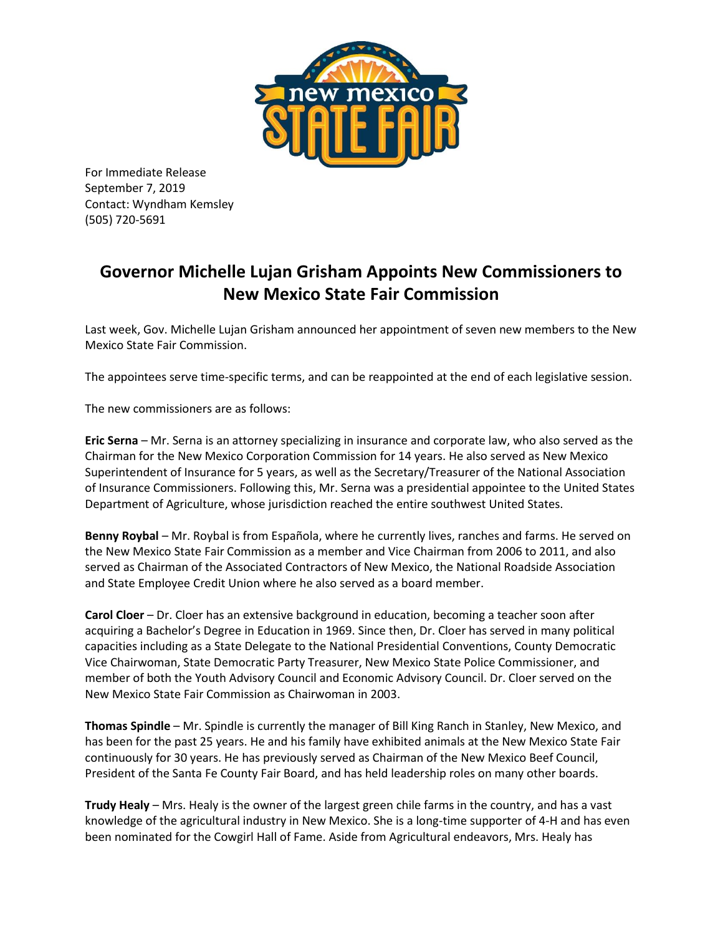

For Immediate Release September 7, 2019 Contact: Wyndham Kemsley (505) 720-5691

## **Governor Michelle Lujan Grisham Appoints New Commissioners to New Mexico State Fair Commission**

Last week, Gov. Michelle Lujan Grisham announced her appointment of seven new members to the New Mexico State Fair Commission.

The appointees serve time-specific terms, and can be reappointed at the end of each legislative session.

The new commissioners are as follows:

**Eric Serna** – Mr. Serna is an attorney specializing in insurance and corporate law, who also served as the Chairman for the New Mexico Corporation Commission for 14 years. He also served as New Mexico Superintendent of Insurance for 5 years, as well as the Secretary/Treasurer of the National Association of Insurance Commissioners. Following this, Mr. Serna was a presidential appointee to the United States Department of Agriculture, whose jurisdiction reached the entire southwest United States.

**Benny Roybal** – Mr. Roybal is from Española, where he currently lives, ranches and farms. He served on the New Mexico State Fair Commission as a member and Vice Chairman from 2006 to 2011, and also served as Chairman of the Associated Contractors of New Mexico, the National Roadside Association and State Employee Credit Union where he also served as a board member.

**Carol Cloer** – Dr. Cloer has an extensive background in education, becoming a teacher soon after acquiring a Bachelor's Degree in Education in 1969. Since then, Dr. Cloer has served in many political capacities including as a State Delegate to the National Presidential Conventions, County Democratic Vice Chairwoman, State Democratic Party Treasurer, New Mexico State Police Commissioner, and member of both the Youth Advisory Council and Economic Advisory Council. Dr. Cloer served on the New Mexico State Fair Commission as Chairwoman in 2003.

**Thomas Spindle** – Mr. Spindle is currently the manager of Bill King Ranch in Stanley, New Mexico, and has been for the past 25 years. He and his family have exhibited animals at the New Mexico State Fair continuously for 30 years. He has previously served as Chairman of the New Mexico Beef Council, President of the Santa Fe County Fair Board, and has held leadership roles on many other boards.

**Trudy Healy** – Mrs. Healy is the owner of the largest green chile farms in the country, and has a vast knowledge of the agricultural industry in New Mexico. She is a long-time supporter of 4-H and has even been nominated for the Cowgirl Hall of Fame. Aside from Agricultural endeavors, Mrs. Healy has